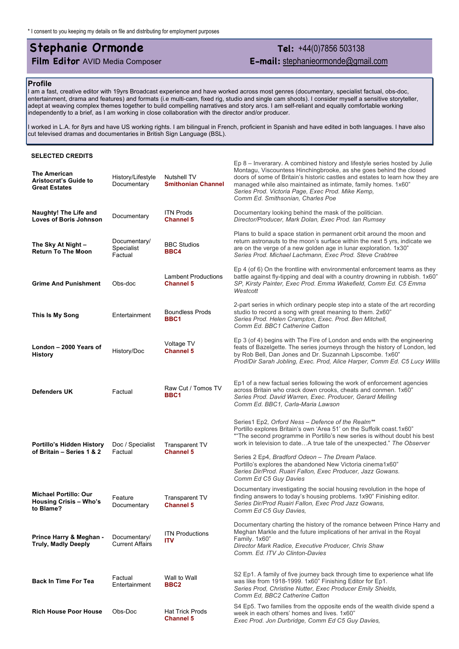## **Stephanie Ormonde Tel:** +44(0)7856 503138

**Film Editor** AVID Media Composer **E-mail:** stephanieormonde@gmail.com

## **Profile**

I am a fast, creative editor with 19yrs Broadcast experience and have worked across most genres (documentary, specialist factual, obs-doc, entertainment, drama and features) and formats (i.e multi-cam, fixed rig, studio and single cam shoots). I consider myself a sensitive storyteller, adept at weaving complex themes together to build compelling narratives and story arcs. I am self-reliant and equally comfortable working independently to a brief, as I am working in close collaboration with the director and/or producer.

I worked in L.A. for 8yrs and have US working rights. I am bilingual in French, proficient in Spanish and have edited in both languages. I have also cut televised dramas and documentaries in British Sign Language (BSL).

## **SELECTED CREDITS**

| <b>The American</b><br><b>Aristocrat's Guide to</b><br><b>Great Estates</b> | History/Lifestyle<br>Documentary       | <b>Nutshell TV</b><br><b>Smithonian Channel</b> | Ep 8 – Inverarary. A combined history and lifestyle series hosted by Julie<br>Montagu, Viscountess Hinchingbrooke, as she goes behind the closed<br>doors of some of Britain's historic castles and estates to learn how they are<br>managed while also maintained as intimate, family homes. 1x60"<br>Series Prod. Victoria Page, Exec Prod. Mike Kemp,<br>Comm Ed. Smithsonian, Charles Poe |
|-----------------------------------------------------------------------------|----------------------------------------|-------------------------------------------------|-----------------------------------------------------------------------------------------------------------------------------------------------------------------------------------------------------------------------------------------------------------------------------------------------------------------------------------------------------------------------------------------------|
| <b>Naughty! The Life and</b><br><b>Loves of Boris Johnson</b>               | Documentary                            | <b>ITN Prods</b><br><b>Channel 5</b>            | Documentary looking behind the mask of the politician.<br>Director/Producer, Mark Dolan, Exec Prod. Ian Rumsey                                                                                                                                                                                                                                                                                |
| The Sky At Night -<br><b>Return To The Moon</b>                             | Documentary/<br>Specialist<br>Factual  | <b>BBC Studios</b><br>BBC4                      | Plans to build a space station in permanent orbit around the moon and<br>return astronauts to the moon's surface within the next 5 yrs, indicate we<br>are on the verge of a new golden age in lunar exploration. 1x30"<br>Series Prod. Michael Lachmann, Exec Prod. Steve Crabtree                                                                                                           |
| <b>Grime And Punishment</b>                                                 | Obs-doc                                | <b>Lambent Productions</b><br><b>Channel 5</b>  | Ep 4 (of 6) On the frontline with environmental enforcement teams as they<br>battle against fly-tipping and deal with a country drowning in rubbish. 1x60"<br>SP, Kirsty Painter, Exec Prod. Emma Wakefield, Comm Ed. C5 Emma<br>Westcott                                                                                                                                                     |
| This Is My Song                                                             | Entertainment                          | <b>Boundless Prods</b><br>BBC <sub>1</sub>      | 2-part series in which ordinary people step into a state of the art recording<br>studio to record a song with great meaning to them. 2x60"<br>Series Prod. Helen Crampton, Exec. Prod. Ben Mitchell,<br>Comm Ed. BBC1 Catherine Catton                                                                                                                                                        |
| London - 2000 Years of<br><b>History</b>                                    | History/Doc                            | Voltage TV<br><b>Channel 5</b>                  | Ep 3 (of 4) begins with The Fire of London and ends with the engineering<br>feats of Bazelgette. The series journeys through the history of London, led<br>by Rob Bell, Dan Jones and Dr. Suzannah Lipscombe. 1x60"<br>Prod/Dir Sarah Jobling, Exec. Prod, Alice Harper, Comm Ed. C5 Lucy Willis                                                                                              |
| <b>Defenders UK</b>                                                         | Factual                                | Raw Cut / Tomos TV<br>BBC1                      | Ep1 of a new factual series following the work of enforcement agencies<br>across Britain who crack down crooks, cheats and conmen. 1x60"<br>Series Prod. David Warren, Exec. Producer, Gerard Melling<br>Comm Ed. BBC1, Carla-Maria Lawson                                                                                                                                                    |
| Portillo's Hidden History<br>of Britain - Series 1 & 2                      | Doc / Specialist<br>Factual            | Transparent TV<br><b>Channel 5</b>              | Series1 Ep2, Orford Ness - Defence of the Realm**<br>Portillo explores Britain's own 'Area 51' on the Suffolk coast.1x60"<br>*"The second programme in Portillo's new series is without doubt his best<br>work in television to dateA true tale of the unexpected." The Observer                                                                                                              |
|                                                                             |                                        |                                                 | Series 2 Ep4, Bradford Odeon - The Dream Palace.<br>Portillo's explores the abandoned New Victoria cinema1x60"<br>Series Dir/Prod. Ruairi Fallon, Exec Producer, Jazz Gowans.<br>Comm Ed C5 Guy Davies                                                                                                                                                                                        |
| <b>Michael Portillo: Our</b><br><b>Housing Crisis - Who's</b><br>to Blame?  | Feature<br>Documentary                 | <b>Transparent TV</b><br><b>Channel 5</b>       | Documentary investigating the social housing revolution in the hope of<br>finding answers to today's housing problems. 1x90" Finishing editor.<br>Series Dir/Prod Ruairi Fallon, Exec Prod Jazz Gowans,<br>Comm Ed C5 Guy Davies,                                                                                                                                                             |
| Prince Harry & Meghan -<br><b>Truly, Madly Deeply</b>                       | Documentary/<br><b>Current Affairs</b> | <b>ITN Productions</b><br><b>ITV</b>            | Documentary charting the history of the romance between Prince Harry and<br>Meghan Markle and the future implications of her arrival in the Royal<br>Family. 1x60"<br>Director Mark Radice, Executive Producer, Chris Shaw<br>Comm. Ed. ITV Jo Clinton-Davies                                                                                                                                 |
| <b>Back In Time For Tea</b>                                                 | Factual<br>Entertainment               | Wall to Wall<br>BBC2                            | S2 Ep1. A family of five journey back through time to experience what life<br>was like from 1918-1999. 1x60" Finishing Editor for Ep1.<br>Series Prod, Christine Nutter, Exec Producer Emily Shields,<br>Comm Ed, BBC2 Catherine Catton                                                                                                                                                       |
| <b>Rich House Poor House</b>                                                | Obs-Doc                                | <b>Hat Trick Prods</b><br><b>Channel 5</b>      | S4 Ep5. Two families from the opposite ends of the wealth divide spend a<br>week in each others' homes and lives. 1x60"<br>Exec Prod. Jon Durbridge, Comm Ed C5 Guy Davies,                                                                                                                                                                                                                   |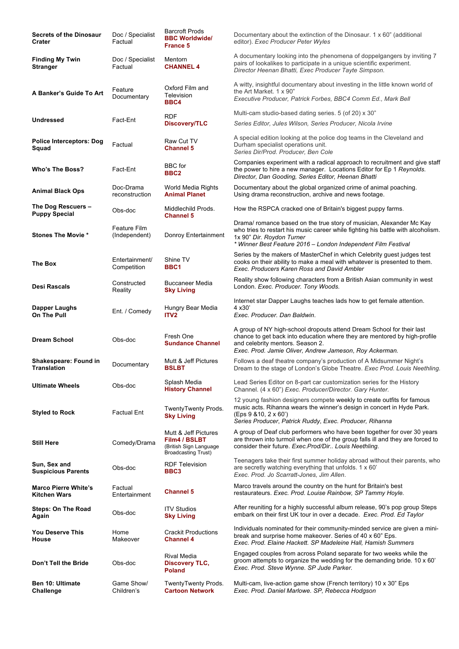| <b>Secrets of the Dinosaur</b><br>Crater           | Doc / Specialist<br>Factual          | <b>Barcroft Prods</b><br><b>BBC Worldwide/</b><br><b>France 5</b>                             | Documentary about the extinction of the Dinosaur. 1 x 60" (additional<br>editor). Exec Producer Peter Wyles                                                                                                                                            |
|----------------------------------------------------|--------------------------------------|-----------------------------------------------------------------------------------------------|--------------------------------------------------------------------------------------------------------------------------------------------------------------------------------------------------------------------------------------------------------|
| <b>Finding My Twin</b><br>Stranger                 | Doc / Specialist<br>Factual          | Mentorn<br><b>CHANNEL 4</b>                                                                   | A documentary looking into the phenomena of doppelgangers by inviting 7<br>pairs of lookalikes to participate in a unique scientific experiment.<br>Director Heenan Bhatti, Exec Producer Tayte Simpson.                                               |
| A Banker's Guide To Art                            | Feature<br>Documentary               | Oxford Film and<br>Television<br>BBC4                                                         | A witty, insightful documentary about investing in the little known world of<br>the Art Market, 1 x 90"<br>Executive Producer, Patrick Forbes, BBC4 Comm Ed., Mark Bell                                                                                |
| Undressed                                          | Fact-Ent                             | <b>RDF</b><br><b>Discovery/TLC</b>                                                            | Multi-cam studio-based dating series. 5 (of 20) x 30"<br>Series Editor, Jules Wilson, Series Producer, Nicola Irvine                                                                                                                                   |
| <b>Police Interceptors: Dog</b><br>Squad           | Factual                              | Raw Cut TV<br><b>Channel 5</b>                                                                | A special edition looking at the police dog teams in the Cleveland and<br>Durham specialist operations unit.<br>Series Dir/Prod. Producer, Ben Cole                                                                                                    |
| Who's The Boss?                                    | Fact-Ent                             | <b>BBC</b> for<br>BBC <sub>2</sub>                                                            | Companies experiment with a radical approach to recruitment and give staff<br>the power to hire a new manager. Locations Editor for Ep 1 Reynolds.<br>Director, Dan Gooding, Series Editor, Heenan Bhatti                                              |
| Animal Black Ops                                   | Doc-Drama<br>reconstruction          | World Media Rights<br><b>Animal Planet</b>                                                    | Documentary about the global organized crime of animal poaching.<br>Using drama reconstruction, archive and news footage.                                                                                                                              |
| The Dog Rescuers -<br><b>Puppy Special</b>         | Obs-doc                              | Middlechild Prods.<br><b>Channel 5</b>                                                        | How the RSPCA cracked one of Britain's biggest puppy farms.                                                                                                                                                                                            |
| <b>Stones The Movie *</b>                          | <b>Feature Film</b><br>(Independent) | Donroy Entertainment                                                                          | Drama/ romance based on the true story of musician, Alexander Mc Kay<br>who tries to restart his music career while fighting his battle with alcoholism.<br>1x 90" Dir. Roydon Turner<br>* Winner Best Feature 2016 - London Independent Film Festival |
| The Box                                            | Entertainment/<br>Competition        | Shine TV<br>BBC1                                                                              | Series by the makers of MasterChef in which Celebrity guest judges test<br>cooks on their ability to make a meal with whatever is presented to them.<br>Exec. Producers Karen Ross and David Ambler                                                    |
| Desi Rascals                                       | Constructed<br>Reality               | Buccaneer Media<br><b>Sky Living</b>                                                          | Reality show following characters from a British Asian community in west<br>London. Exec. Producer. Tony Woods.                                                                                                                                        |
| Dapper Laughs<br>On The Pull                       | Ent. / Comedy                        | Hungry Bear Media<br>ITV <sub>2</sub>                                                         | Internet star Dapper Laughs teaches lads how to get female attention.<br>4 x 30'<br>Exec. Producer. Dan Baldwin.                                                                                                                                       |
| <b>Dream School</b>                                | Obs-doc                              | Fresh One<br><b>Sundance Channel</b>                                                          | A group of NY high-school dropouts attend Dream School for their last<br>chance to get back into education where they are mentored by high-profile<br>and celebrity mentors. Season 2.<br>Exec. Prod. Jamie Oliver, Andrew Jameson, Roy Ackerman.      |
| <b>Shakespeare: Found in</b><br><b>Translation</b> | Documentary                          | Mutt & Jeff Pictures<br><b>BSLBT</b>                                                          | Follows a deaf theatre company's production of A Midsummer Night's<br>Dream to the stage of London's Globe Theatre. Exec Prod. Louis Neethling.                                                                                                        |
| <b>Ultimate Wheels</b>                             | Obs-doc                              | Splash Media<br><b>History Channel</b>                                                        | Lead Series Editor on 8-part car customization series for the History<br>Channel. (4 x 60") Exec. Producer/Director. Gary Hunter.                                                                                                                      |
| Styled to Rock                                     | <b>Factual Ent</b>                   | TwentyTwenty Prods.<br><b>Sky Living</b>                                                      | 12 young fashion designers compete weekly to create outfits for famous<br>music acts. Rihanna wears the winner's design in concert in Hyde Park.<br>(Eps 9 810, 2 x 60')<br>Series Producer, Patrick Ruddy, Exec. Producer, Rihanna                    |
| <b>Still Here</b>                                  | Comedy/Drama                         | Mutt & Jeff Pictures<br>Film4 / BSLBT<br>(British Sign Language<br><b>Broadcasting Trust)</b> | A group of Deaf club performers who have been together for over 30 years<br>are thrown into turmoil when one of the group falls ill and they are forced to<br>consider their future. Exec. Prod/Dir Louis Neethling.                                   |
| Sun, Sex and<br><b>Suspicious Parents</b>          | Obs-doc                              | <b>RDF Television</b><br>BBC3                                                                 | Teenagers take their first summer holiday abroad without their parents, who<br>are secretly watching everything that unfolds. 1 x 60'<br>Exec. Prod. Jo Scarratt-Jones, Jim Allen.                                                                     |
| <b>Marco Pierre White's</b><br>Kitchen Wars        | Factual<br>Entertainment             | <b>Channel 5</b>                                                                              | Marco travels around the country on the hunt for Britain's best<br>restaurateurs. Exec. Prod. Louise Rainbow, SP Tammy Hoyle.                                                                                                                          |
| Steps: On The Road<br>Again                        | Obs-doc                              | <b>ITV Studios</b><br><b>Sky Living</b>                                                       | After reuniting for a highly successful album release, 90's pop group Steps<br>embark on their first UK tour in over a decade. Exec. Prod. Ed Taylor                                                                                                   |
| You Deserve This<br>House                          | Home<br>Makeover                     | <b>Crackit Productions</b><br>Channel 4                                                       | Individuals nominated for their community-minded service are given a mini-<br>break and surprise home makeover. Series of 40 x 60" Eps.<br>Exec. Prod. Elaine Hackett. SP Madeleine Hall, Hamish Summers                                               |
| Don't Tell the Bride                               | Obs-doc                              | <b>Rival Media</b><br><b>Discovery TLC,</b><br><b>Poland</b>                                  | Engaged couples from across Poland separate for two weeks while the<br>groom attempts to organize the wedding for the demanding bride. 10 x 60'<br>Exec. Prod. Steve Wynne. SP Jude Parker.                                                            |
| <b>Ben 10: Ultimate</b><br>Challenge               | Game Show/<br>Children's             | TwentyTwenty Prods.<br><b>Cartoon Network</b>                                                 | Multi-cam, live-action game show (French territory) 10 x 30" Eps<br>Exec. Prod. Daniel Marlowe. SP, Rebecca Hodgson                                                                                                                                    |